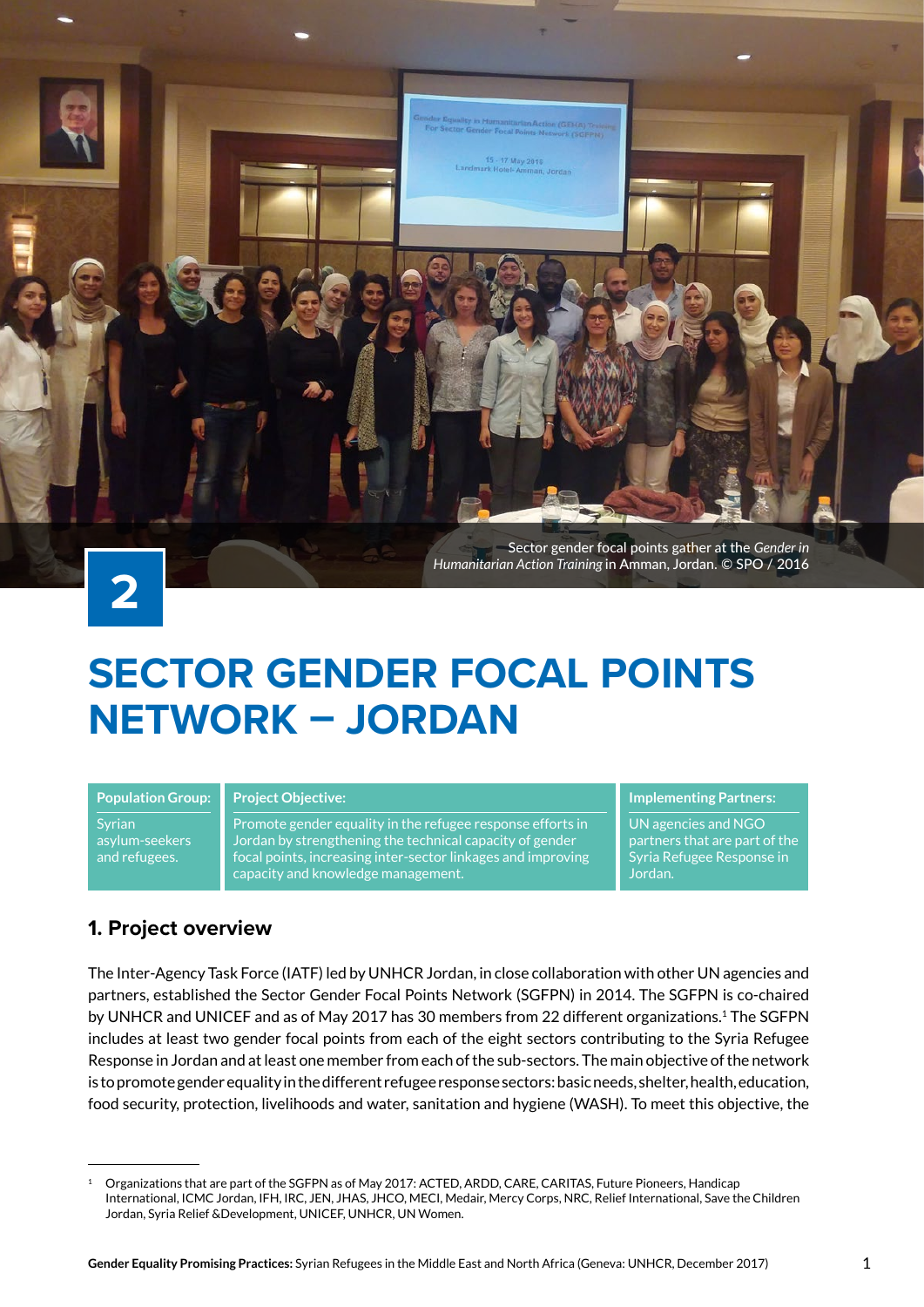

# **SECTOR GENDER FOCAL POINTS NETWORK – JORDAN**

**Population Group:** Syrian asylum-seekers and refugees.

#### **Project Objective:**

Promote gender equality in the refugee response efforts in Jordan by strengthening the technical capacity of gender focal points, increasing inter-sector linkages and improving capacity and knowledge management.

#### **Implementing Partners:**

UN agencies and NGO partners that are part of the Syria Refugee Response in Jordan.

## **1. Project overview**

The Inter-Agency Task Force (IATF) led by UNHCR Jordan, in close collaboration with other UN agencies and partners, established the Sector Gender Focal Points Network (SGFPN) in 2014. The SGFPN is co-chaired by UNHCR and UNICEF and as of May 2017 has 30 members from 22 different organizations.<sup>1</sup> The SGFPN includes at least two gender focal points from each of the eight sectors contributing to the Syria Refugee Response in Jordan and at least one member from each of the sub-sectors. The main objective of the network is to promote gender equality in the different refugee response sectors: basic needs, shelter, health, education, food security, protection, livelihoods and water, sanitation and hygiene (WASH). To meet this objective, the

<sup>1</sup> Organizations that are part of the SGFPN as of May 2017: ACTED, ARDD, CARE, CARITAS, Future Pioneers, Handicap International, ICMC Jordan, IFH, IRC, JEN, JHAS, JHCO, MECI, Medair, Mercy Corps, NRC, Relief International, Save the Children Jordan, Syria Relief &Development, UNICEF, UNHCR, UN Women.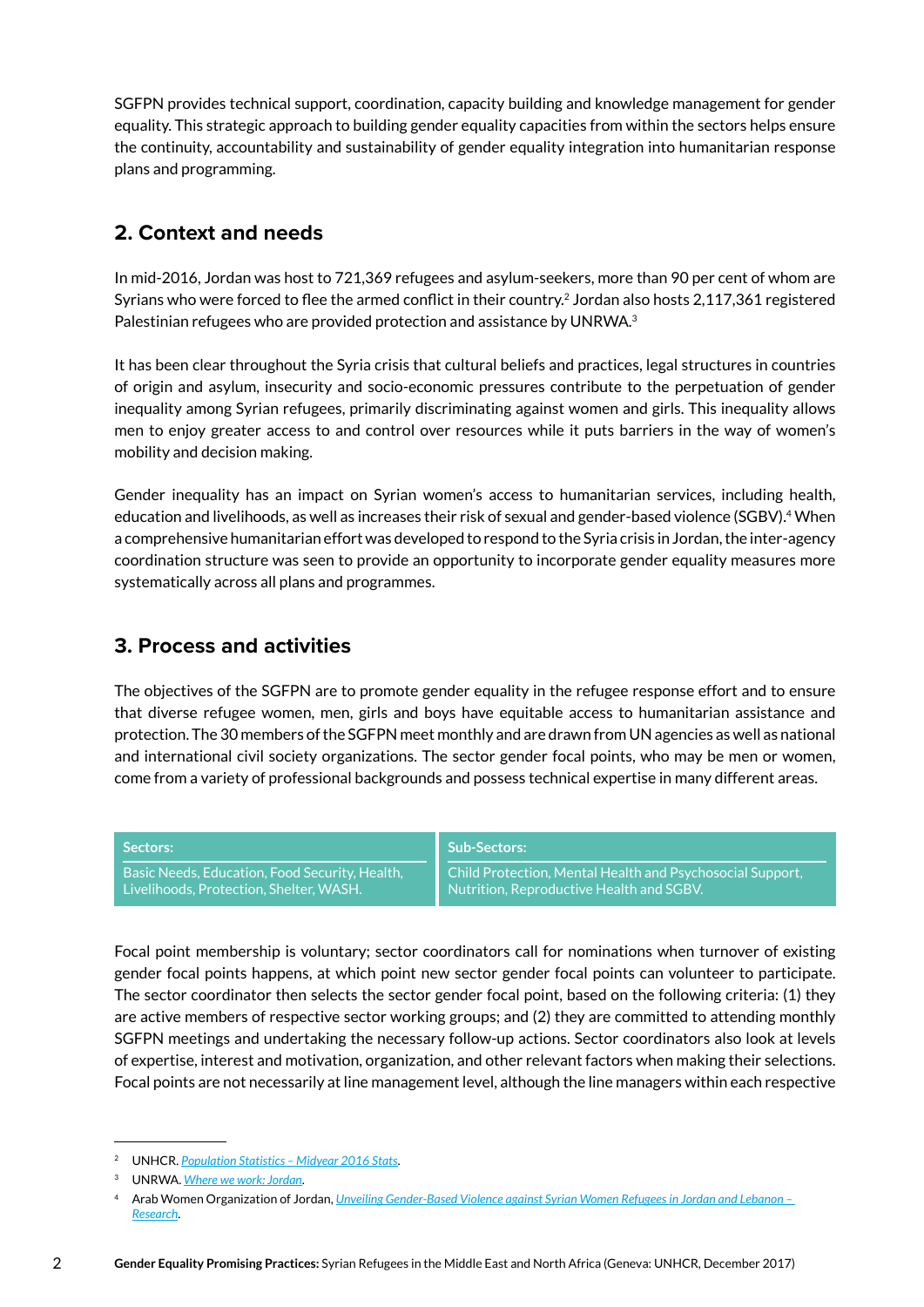SGFPN provides technical support, coordination, capacity building and knowledge management for gender equality. This strategic approach to building gender equality capacities from within the sectors helps ensure the continuity, accountability and sustainability of gender equality integration into humanitarian response plans and programming.

# **2. Context and needs**

In mid-2016, Jordan was host to 721,369 refugees and asylum-seekers, more than 90 per cent of whom are Syrians who were forced to flee the armed conflict in their country.<sup>2</sup> Jordan also hosts 2,117,361 registered Palestinian refugees who are provided protection and assistance by UNRWA.<sup>3</sup>

It has been clear throughout the Syria crisis that cultural beliefs and practices, legal structures in countries of origin and asylum, insecurity and socio-economic pressures contribute to the perpetuation of gender inequality among Syrian refugees, primarily discriminating against women and girls. This inequality allows men to enjoy greater access to and control over resources while it puts barriers in the way of women's mobility and decision making.

Gender inequality has an impact on Syrian women's access to humanitarian services, including health, education and livelihoods, as well as increases their risk of sexual and gender-based violence (SGBV).<sup>4</sup> When a comprehensive humanitarian effort was developed to respond to the Syria crisis in Jordan, the inter-agency coordination structure was seen to provide an opportunity to incorporate gender equality measures more systematically across all plans and programmes.

## **3. Process and activities**

The objectives of the SGFPN are to promote gender equality in the refugee response effort and to ensure that diverse refugee women, men, girls and boys have equitable access to humanitarian assistance and protection. The 30 members of the SGFPN meet monthly and are drawn from UN agencies as well as national and international civil society organizations. The sector gender focal points, who may be men or women, come from a variety of professional backgrounds and possess technical expertise in many different areas.

| Sectors:                                       | <b>Sub-Sectors:</b>                                       |
|------------------------------------------------|-----------------------------------------------------------|
| Basic Needs, Education, Food Security, Health, | Child Protection, Mental Health and Psychosocial Support, |
| Livelihoods, Protection, Shelter, WASH. ,      | Nutrition, Reproductive Health and SGBV.                  |

Focal point membership is voluntary; sector coordinators call for nominations when turnover of existing gender focal points happens, at which point new sector gender focal points can volunteer to participate. The sector coordinator then selects the sector gender focal point, based on the following criteria: (1) they are active members of respective sector working groups; and (2) they are committed to attending monthly SGFPN meetings and undertaking the necessary follow-up actions. Sector coordinators also look at levels of expertise, interest and motivation, organization, and other relevant factors when making their selections. Focal points are not necessarily at line management level, although the line managers within each respective

<sup>2</sup> UNHCR. *[Population Statistics – Midyear 2016 Stats](http://www.unhcr.org/statistics/mid2016stats.zip)*.

<sup>3</sup> UNRWA. *[Where we work: Jordan](https://www.unrwa.org/where-we-work/jordan)*.

<sup>4</sup> Arab Women Organization of Jordan, *[Unveiling Gender-Based Violence against Syrian Women Refugees in Jordan and Lebanon –](http://www.peacewomen.org/sites/default/files/AWO%20Research%20on%20Syrian%20Refugees-English.pdf)  [Research](http://www.peacewomen.org/sites/default/files/AWO%20Research%20on%20Syrian%20Refugees-English.pdf)*.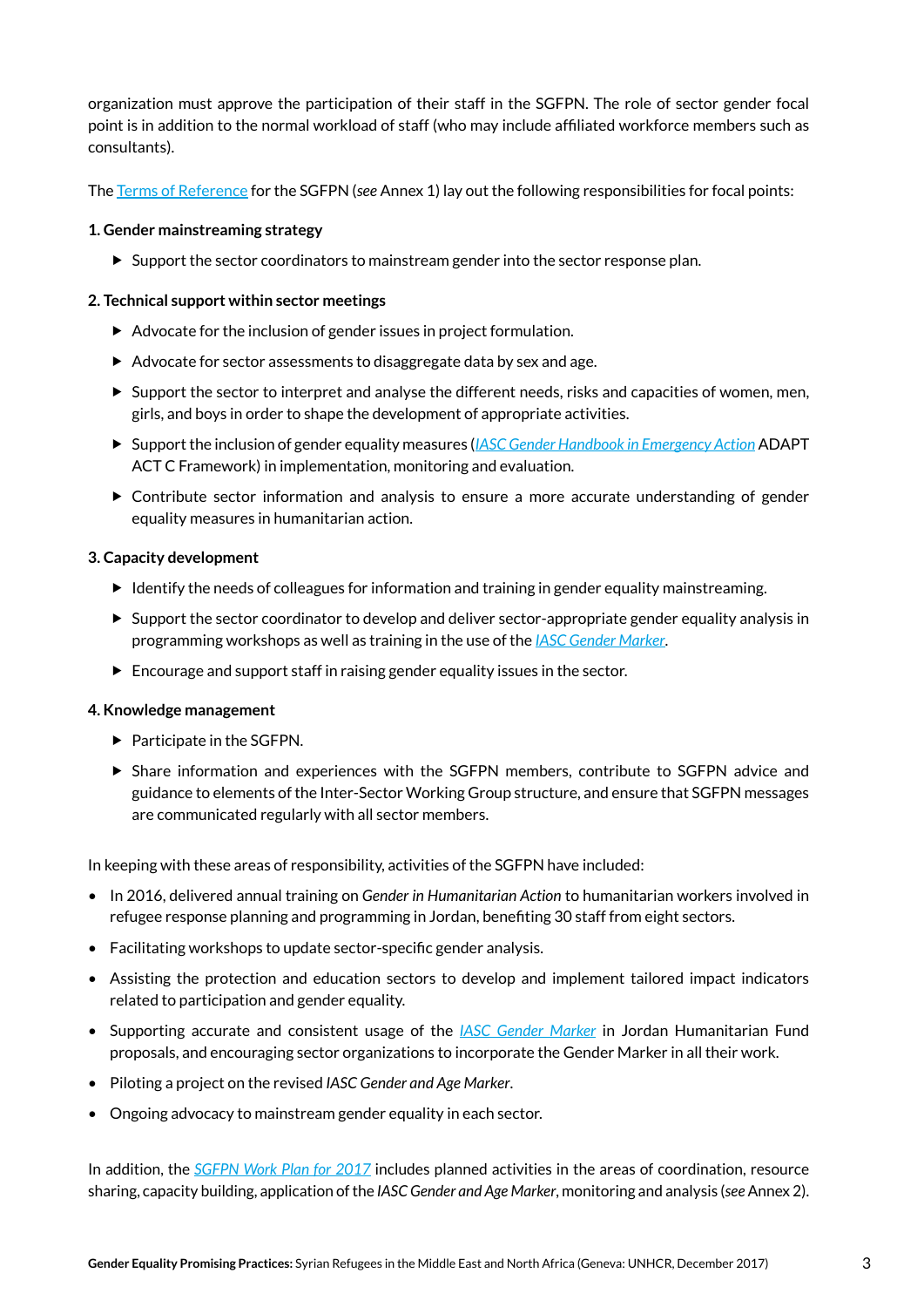organization must approve the participation of their staff in the SGFPN. The role of sector gender focal point is in addition to the normal workload of staff (who may include affiliated workforce members such as consultants).

The [Terms of Reference](https://data.unhcr.org/syrianrefugees/download.php?id=12597) for the SGFPN (*see* Annex 1) lay out the following responsibilities for focal points:

#### **1. Gender mainstreaming strategy**

 $\triangleright$  Support the sector coordinators to mainstream gender into the sector response plan.

#### **2. Technical support within sector meetings**

- $\blacktriangleright$  Advocate for the inclusion of gender issues in project formulation.
- Advocate for sector assessments to disaggregate data by sex and age.
- $\triangleright$  Support the sector to interpret and analyse the different needs, risks and capacities of women, men, girls, and boys in order to shape the development of appropriate activities.
- Support the inclusion of gender equality measures (*[IASC Gender Handbook in Emergency Action](https://www.humanitarianresponse.info/system/files/documents/files/Gender Handbook.pdf)* ADAPT ACT C Framework) in implementation, monitoring and evaluation.
- Contribute sector information and analysis to ensure a more accurate understanding of gender equality measures in humanitarian action.

#### **3. Capacity development**

- $\blacktriangleright$  Identify the needs of colleagues for information and training in gender equality mainstreaming.
- $\triangleright$  Support the sector coordinator to develop and deliver sector-appropriate gender equality analysis in programming workshops as well as training in the use of the *[IASC Gender Marker](https://www.humanitarianresponse.info/en/topics/gender/page/iasc-gender-marker)*.
- Encourage and support staff in raising gender equality issues in the sector.

#### **4. Knowledge management**

- $\blacktriangleright$  Participate in the SGFPN.
- Share information and experiences with the SGFPN members, contribute to SGFPN advice and guidance to elements of the Inter-Sector Working Group structure, and ensure that SGFPN messages are communicated regularly with all sector members.

In keeping with these areas of responsibility, activities of the SGFPN have included:

- In 2016, delivered annual training on *Gender in Humanitarian Action* to humanitarian workers involved in refugee response planning and programming in Jordan, benefiting 30 staff from eight sectors.
- Facilitating workshops to update sector-specific gender analysis.
- Assisting the protection and education sectors to develop and implement tailored impact indicators related to participation and gender equality.
- Supporting accurate and consistent usage of the *[IASC Gender Marker](https://www.humanitarianresponse.info/en/topics/gender/page/iasc-gender-marker)* in Jordan Humanitarian Fund proposals, and encouraging sector organizations to incorporate the Gender Marker in all their work.
- Piloting a project on the revised *IASC Gender and Age Marker*.
- Ongoing advocacy to mainstream gender equality in each sector.

In addition, the *[SGFPN Work Plan for 2017](http://data.unhcr.org/syrianrefugees/download.php?id=13010)* includes planned activities in the areas of coordination, resource sharing, capacity building, application of the *IASC Gender and Age Marker*, monitoring and analysis (*see* Annex 2).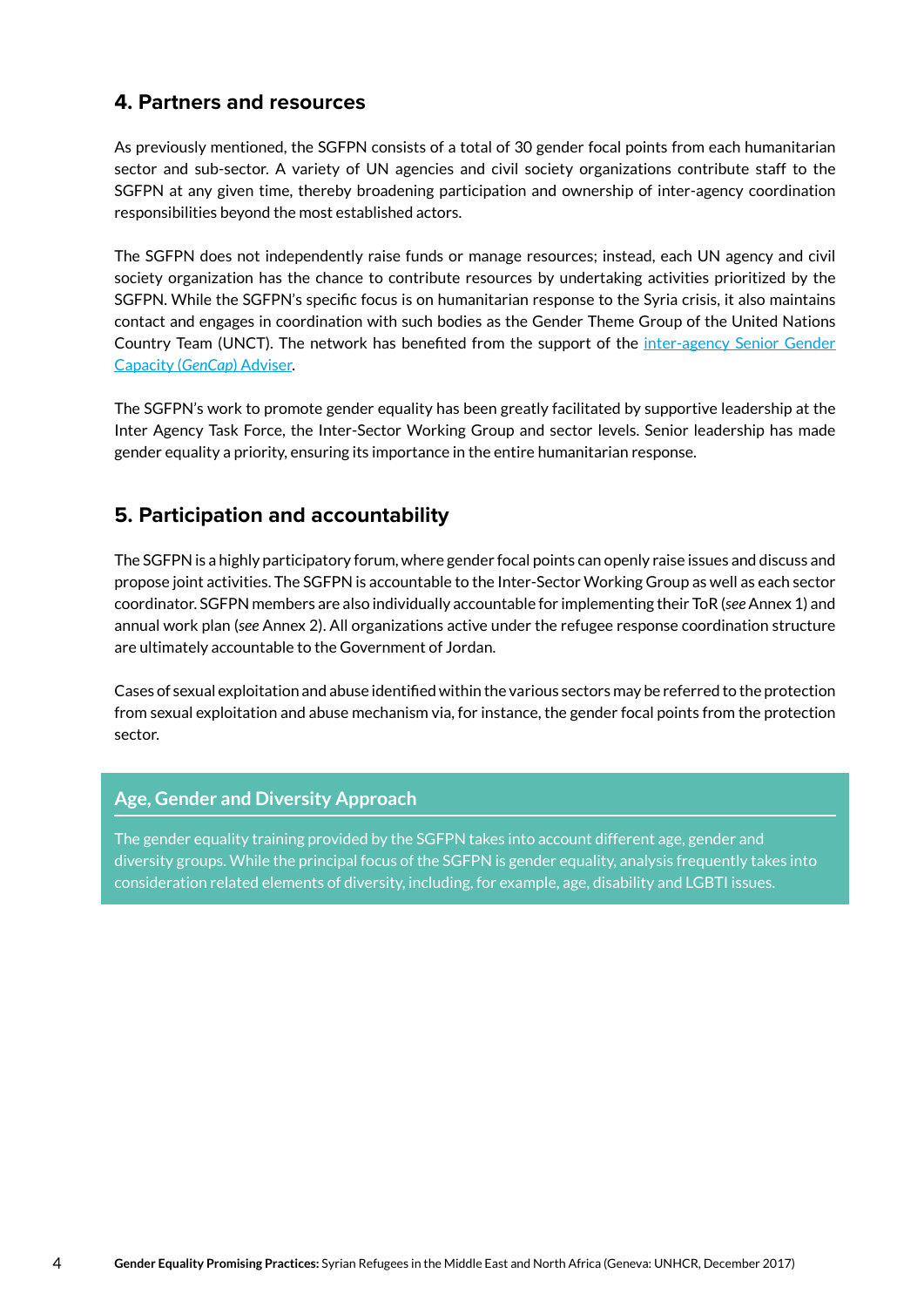## **4. Partners and resources**

As previously mentioned, the SGFPN consists of a total of 30 gender focal points from each humanitarian sector and sub-sector. A variety of UN agencies and civil society organizations contribute staff to the SGFPN at any given time, thereby broadening participation and ownership of inter-agency coordination responsibilities beyond the most established actors.

The SGFPN does not independently raise funds or manage resources; instead, each UN agency and civil society organization has the chance to contribute resources by undertaking activities prioritized by the SGFPN. While the SGFPN's specific focus is on humanitarian response to the Syria crisis, it also maintains contact and engages in coordination with such bodies as the Gender Theme Group of the United Nations Country Team (UNCT). The network has benefited from the support of the *inter-agency Senior Gender* [Capacity \(](https://www.humanitarianresponse.info/en/coordination/gencap)*GenCap*) Adviser.

The SGFPN's work to promote gender equality has been greatly facilitated by supportive leadership at the Inter Agency Task Force, the Inter-Sector Working Group and sector levels. Senior leadership has made gender equality a priority, ensuring its importance in the entire humanitarian response.

# **5. Participation and accountability**

The SGFPN is a highly participatory forum, where gender focal points can openly raise issues and discuss and propose joint activities. The SGFPN is accountable to the Inter-Sector Working Group as well as each sector coordinator. SGFPN members are also individually accountable for implementing their ToR (*see* Annex 1) and annual work plan (*see* Annex 2). All organizations active under the refugee response coordination structure are ultimately accountable to the Government of Jordan.

Cases of sexual exploitation and abuse identified within the various sectors may be referred to the protection from sexual exploitation and abuse mechanism via, for instance, the gender focal points from the protection sector.

#### **Age, Gender and Diversity Approach**

The gender equality training provided by the SGFPN takes into account different age, gender and diversity groups. While the principal focus of the SGFPN is gender equality, analysis frequently takes into consideration related elements of diversity, including, for example, age, disability and LGBTI issues.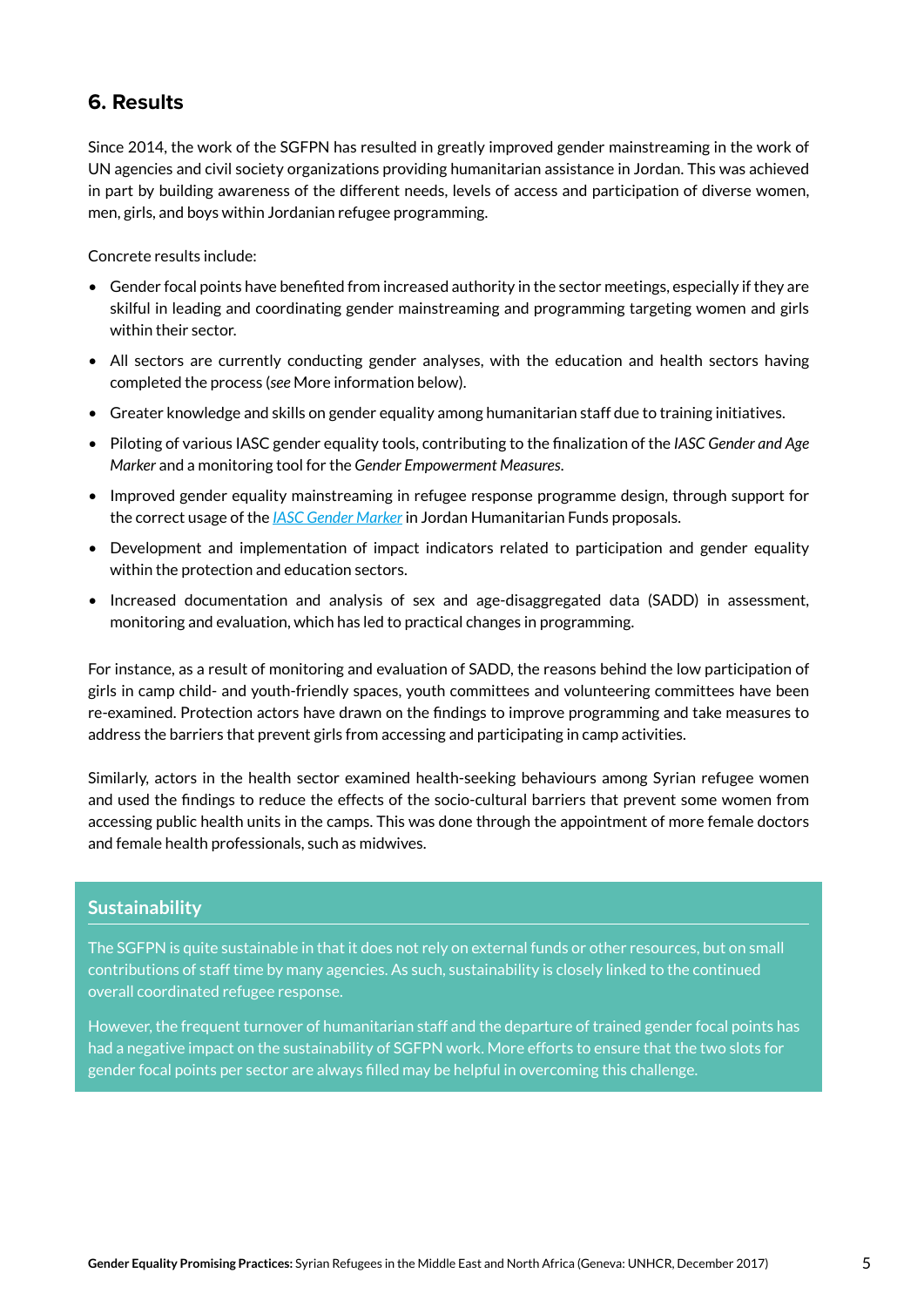## **6. Results**

Since 2014, the work of the SGFPN has resulted in greatly improved gender mainstreaming in the work of UN agencies and civil society organizations providing humanitarian assistance in Jordan. This was achieved in part by building awareness of the different needs, levels of access and participation of diverse women, men, girls, and boys within Jordanian refugee programming.

Concrete results include:

- Gender focal points have benefited from increased authority in the sector meetings, especially if they are skilful in leading and coordinating gender mainstreaming and programming targeting women and girls within their sector.
- All sectors are currently conducting gender analyses, with the education and health sectors having completed the process (*see* More information below).
- Greater knowledge and skills on gender equality among humanitarian staff due to training initiatives.
- Piloting of various IASC gender equality tools, contributing to the finalization of the *IASC Gender and Age Marker* and a monitoring tool for the *Gender Empowerment Measures*.
- Improved gender equality mainstreaming in refugee response programme design, through support for the correct usage of the *[IASC Gender Marker](https://www.humanitarianresponse.info/en/topics/gender/page/iasc-gender-marker)* in Jordan Humanitarian Funds proposals.
- Development and implementation of impact indicators related to participation and gender equality within the protection and education sectors.
- Increased documentation and analysis of sex and age-disaggregated data (SADD) in assessment, monitoring and evaluation, which has led to practical changes in programming.

For instance, as a result of monitoring and evaluation of SADD, the reasons behind the low participation of girls in camp child- and youth-friendly spaces, youth committees and volunteering committees have been re-examined. Protection actors have drawn on the findings to improve programming and take measures to address the barriers that prevent girls from accessing and participating in camp activities.

Similarly, actors in the health sector examined health-seeking behaviours among Syrian refugee women and used the findings to reduce the effects of the socio-cultural barriers that prevent some women from accessing public health units in the camps. This was done through the appointment of more female doctors and female health professionals, such as midwives.

#### **Sustainability**

The SGFPN is quite sustainable in that it does not rely on external funds or other resources, but on small contributions of staff time by many agencies. As such, sustainability is closely linked to the continued overall coordinated refugee response.

However, the frequent turnover of humanitarian staff and the departure of trained gender focal points has had a negative impact on the sustainability of SGFPN work. More efforts to ensure that the two slots for gender focal points per sector are always filled may be helpful in overcoming this challenge.